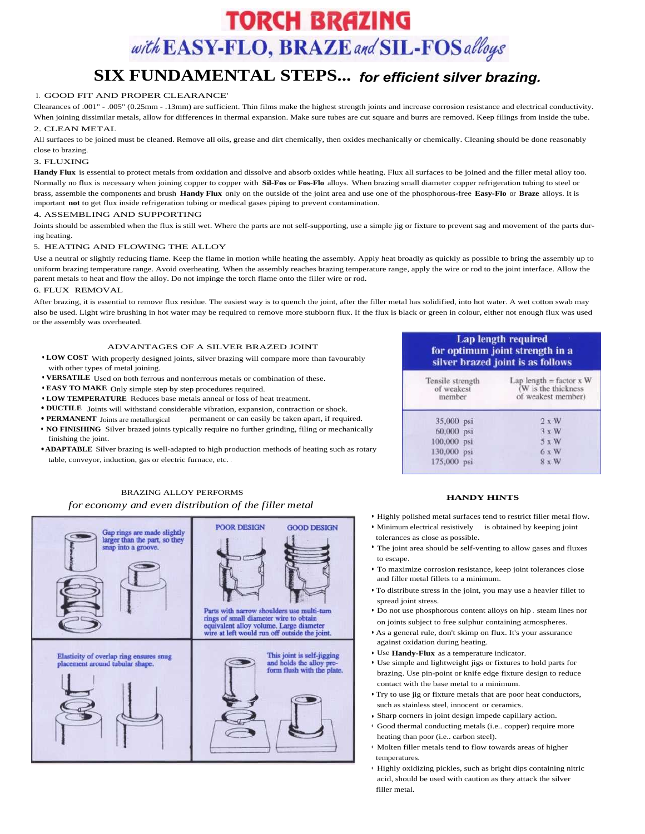# **TORCH BRAZING** with EASY-FLO, BRAZE and SIL-FOS alloys

## **SIX FUNDAMENTAL STEPS...** *for efficient silver brazing.*

#### 1. GOOD FIT AND PROPER CLEARANCE'

Clearances of .001" - .005" (0.25mm - .13mm) are sufficient. Thin films make the highest strength joints and increase corrosion resistance and electrical conductivity. When joining dissimilar metals, allow for differences in thermal expansion. Make sure tubes are cut square and burrs are removed. Keep filings from inside the tube.

#### 2. CLEAN METAL

All surfaces to be joined must be cleaned. Remove all oils, grease and dirt chemically, then oxides mechanically or chemically. Cleaning should be done reasonably close to brazing.

#### 3. FLUXING

**Handy Flux** is essential to protect metals from oxidation and dissolve and absorb oxides while heating. Flux all surfaces to be joined and the filler metal alloy too. Normally no flux is necessary when joining copper to copper with **Sil-Fos** or **Fos-Flo** alloys. When brazing small diameter copper refrigeration tubing to steel or brass, assemble the components and brush **Handy Flux** only on the outside of the joint area and use one of the phosphorous-free **Easy-Flo** or **Braze** alloys. It is <sup>i</sup> mportant **not** to get flux inside refrigeration tubing or medical gases piping to prevent contamination.

#### 4. ASSEMBLING AND SUPPORTING

Joints should be assembled when the flux is still wet. Where the parts are not self-supporting, use a simple jig or fixture to prevent sag and movement of the parts dur<sup>i</sup> ng heating.

#### 5. HEATING AND FLOWING THE ALLOY

Use a neutral or slightly reducing flame. Keep the flame in motion while heating the assembly. Apply heat broadly as quickly as possible to bring the assembly up to uniform brazing temperature range. Avoid overheating. When the assembly reaches brazing temperature range, apply the wire or rod to the joint interface. Allow the parent metals to heat and flow the alloy. Do not impinge the torch flame onto the filler wire or rod.

#### 6. FLUX REMOVAL

After brazing, it is essential to remove flux residue. The easiest way is to quench the joint, after the filler metal has solidified, into hot water. A wet cotton swab may also be used. Light wire brushing in hot water may be required to remove more stubborn flux. If the flux is black or green in colour, either not enough flux was used or the assembly was overheated.

#### ADVANTAGES OF A SILVER BRAZED JOINT

- **LOW COST** With properly designed joints, silver brazing will compare more than favourably with other types of metal joining.
- **VERSATILE** Used on both ferrous and nonferrous metals or combination of these.
- **EASY TO MAKE** Only simple step by step procedures required.
- **LOW TEMPERATURE** Reduces base metals anneal or loss of heat treatment.
- **DUCTILE** Joints will withstand considerable vibration, expansion, contraction or shock.
- **PERMANENT** Joints are metallurgical permanent or can easily be taken apart, if required.
- **NO FINISHING** Silver brazed joints typically require no further grinding, filing or mechanically finishing the joint.
- **ADAPTABLE** Silver brazing is well-adapted to high production methods of heating such as rotary table, conveyor, induction, gas or electric furnace, etc. .

## **Lap length required** for optimum joint strength in a silver brazed joint is as follows

| Tensile strength<br>of weakest<br>member | Lap length = factor $x$ W<br>(W is the thickness<br>of weakest member) |  |  |  |  |  |  |
|------------------------------------------|------------------------------------------------------------------------|--|--|--|--|--|--|
| 35,000<br>psi                            | 2 x W                                                                  |  |  |  |  |  |  |
| 60,000 psi                               | $3 \times W$                                                           |  |  |  |  |  |  |
| 100,000 psi                              | 5 x W                                                                  |  |  |  |  |  |  |
| 130,000<br>psi                           | $6 \times W$                                                           |  |  |  |  |  |  |
| 175,000 psi                              | 8 x W                                                                  |  |  |  |  |  |  |

## BRAZING ALLOY PERFORMS

#### *for economy and even distribution of the filler metal*



#### **HANDY HINTS**

- Highly polished metal surfaces tend to restrict filler metal flow.
- Minimum electrical resistively is obtained by keeping joint tolerances as close as possible.
- The joint area should be self-venting to allow gases and fluxes to escape.
- To maximize corrosion resistance, keep joint tolerances close and filler metal fillets to a minimum.
- To distribute stress in the joint, you may use a heavier fillet to spread joint stress.
- Do not use phosphorous content alloys on hip . steam lines nor on joints subject to free sulphur containing atmospheres.
- As a general rule, don't skimp on flux. It's your assurance against oxidation during heating.
- Use **Handy-Flux** as a temperature indicator.
- Use simple and lightweight jigs or fixtures to hold parts for brazing. Use pin-point or knife edge fixture design to reduce contact with the base metal to a minimum.
- Try to use jig or fixture metals that are poor heat conductors, such as stainless steel, innocent or ceramics.
- Sharp corners in joint design impede capillary action.
- Good thermal conducting metals (i.e.. copper) require more heating than poor (i.e.. carbon steel).
- Molten filler metals tend to flow towards areas of higher temperatures.
- Highly oxidizing pickles, such as bright dips containing nitric acid, should be used with caution as they attack the silver filler metal.